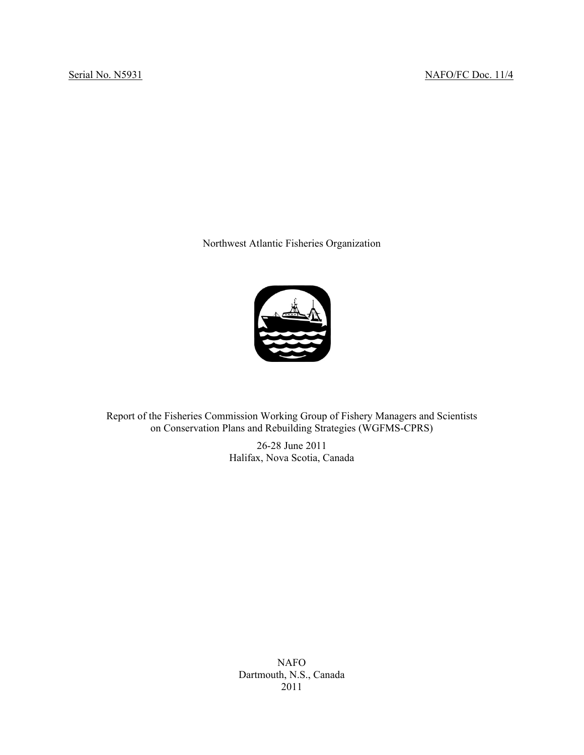Northwest Atlantic Fisheries Organization



Report of the Fisheries Commission Working Group of Fishery Managers and Scientists on Conservation Plans and Rebuilding Strategies (WGFMS-CPRS)

> 26-28 June 2011 Halifax, Nova Scotia, Canada

NAFO Dartmouth, N.S., Canada 2011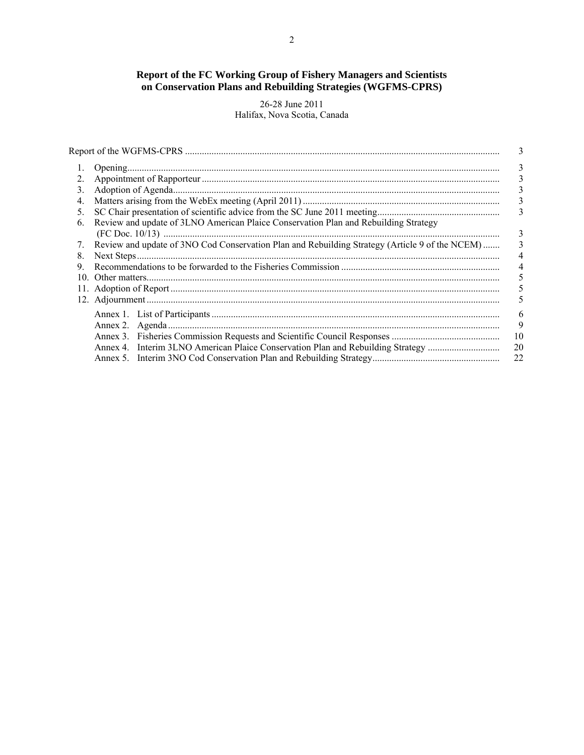# **Report of the FC Working Group of Fishery Managers and Scientists on Conservation Plans and Rebuilding Strategies (WGFMS-CPRS)**

26-28 June 2011 Halifax, Nova Scotia, Canada

|     |                                                                                                | 3  |
|-----|------------------------------------------------------------------------------------------------|----|
| 1.  |                                                                                                | 3  |
| 2.  |                                                                                                | 3  |
| 3.  |                                                                                                | 3  |
| 4.  |                                                                                                | 3  |
| 5.  |                                                                                                | 3  |
| 6.  | Review and update of 3LNO American Plaice Conservation Plan and Rebuilding Strategy            |    |
|     |                                                                                                | 3  |
| 7.  | Review and update of 3NO Cod Conservation Plan and Rebuilding Strategy (Article 9 of the NCEM) | 3  |
| 8.  |                                                                                                | 4  |
| 9.  |                                                                                                | 4  |
| 10. |                                                                                                | 5  |
|     |                                                                                                |    |
|     |                                                                                                |    |
|     |                                                                                                | 6  |
|     |                                                                                                | 9  |
|     |                                                                                                | 10 |
|     | Annex 4. Interim 3LNO American Plaice Conservation Plan and Rebuilding Strategy                | 20 |
|     |                                                                                                | 22 |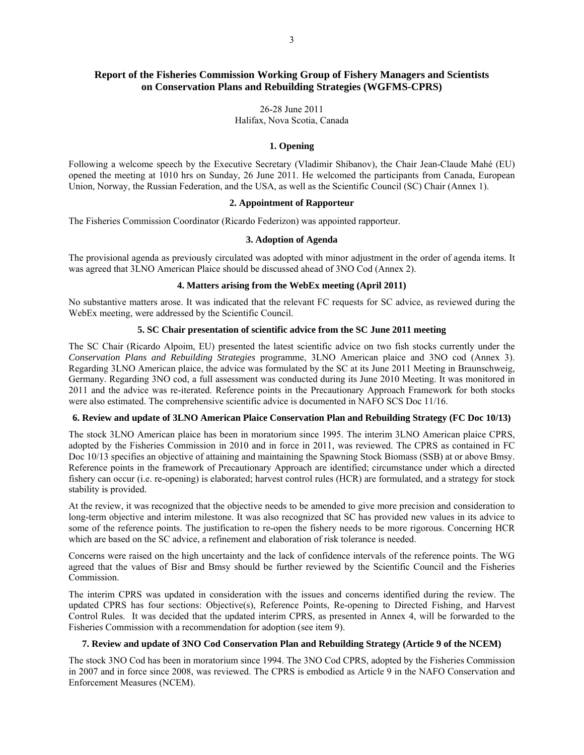# **Report of the Fisheries Commission Working Group of Fishery Managers and Scientists on Conservation Plans and Rebuilding Strategies (WGFMS-CPRS)**

## 26-28 June 2011 Halifax, Nova Scotia, Canada

# **1. Opening**

Following a welcome speech by the Executive Secretary (Vladimir Shibanov), the Chair Jean-Claude Mahé (EU) opened the meeting at 1010 hrs on Sunday, 26 June 2011. He welcomed the participants from Canada, European Union, Norway, the Russian Federation, and the USA, as well as the Scientific Council (SC) Chair (Annex 1).

# **2. Appointment of Rapporteur**

The Fisheries Commission Coordinator (Ricardo Federizon) was appointed rapporteur.

#### **3. Adoption of Agenda**

The provisional agenda as previously circulated was adopted with minor adjustment in the order of agenda items. It was agreed that 3LNO American Plaice should be discussed ahead of 3NO Cod (Annex 2).

# **4. Matters arising from the WebEx meeting (April 2011)**

No substantive matters arose. It was indicated that the relevant FC requests for SC advice, as reviewed during the WebEx meeting, were addressed by the Scientific Council.

# **5. SC Chair presentation of scientific advice from the SC June 2011 meeting**

The SC Chair (Ricardo Alpoim, EU) presented the latest scientific advice on two fish stocks currently under the *Conservation Plans and Rebuilding Strategies* programme, 3LNO American plaice and 3NO cod (Annex 3). Regarding 3LNO American plaice, the advice was formulated by the SC at its June 2011 Meeting in Braunschweig, Germany. Regarding 3NO cod, a full assessment was conducted during its June 2010 Meeting. It was monitored in 2011 and the advice was re-iterated. Reference points in the Precautionary Approach Framework for both stocks were also estimated. The comprehensive scientific advice is documented in NAFO SCS Doc 11/16.

#### **6. Review and update of 3LNO American Plaice Conservation Plan and Rebuilding Strategy (FC Doc 10/13)**

The stock 3LNO American plaice has been in moratorium since 1995. The interim 3LNO American plaice CPRS, adopted by the Fisheries Commission in 2010 and in force in 2011, was reviewed. The CPRS as contained in FC Doc 10/13 specifies an objective of attaining and maintaining the Spawning Stock Biomass (SSB) at or above Bmsy. Reference points in the framework of Precautionary Approach are identified; circumstance under which a directed fishery can occur (i.e. re-opening) is elaborated; harvest control rules (HCR) are formulated, and a strategy for stock stability is provided.

At the review, it was recognized that the objective needs to be amended to give more precision and consideration to long-term objective and interim milestone. It was also recognized that SC has provided new values in its advice to some of the reference points. The justification to re-open the fishery needs to be more rigorous. Concerning HCR which are based on the SC advice, a refinement and elaboration of risk tolerance is needed.

Concerns were raised on the high uncertainty and the lack of confidence intervals of the reference points. The WG agreed that the values of Bisr and Bmsy should be further reviewed by the Scientific Council and the Fisheries Commission.

The interim CPRS was updated in consideration with the issues and concerns identified during the review. The updated CPRS has four sections: Objective(s), Reference Points, Re-opening to Directed Fishing, and Harvest Control Rules. It was decided that the updated interim CPRS, as presented in Annex 4, will be forwarded to the Fisheries Commission with a recommendation for adoption (see item 9).

# **7. Review and update of 3NO Cod Conservation Plan and Rebuilding Strategy (Article 9 of the NCEM)**

The stock 3NO Cod has been in moratorium since 1994. The 3NO Cod CPRS, adopted by the Fisheries Commission in 2007 and in force since 2008, was reviewed. The CPRS is embodied as Article 9 in the NAFO Conservation and Enforcement Measures (NCEM).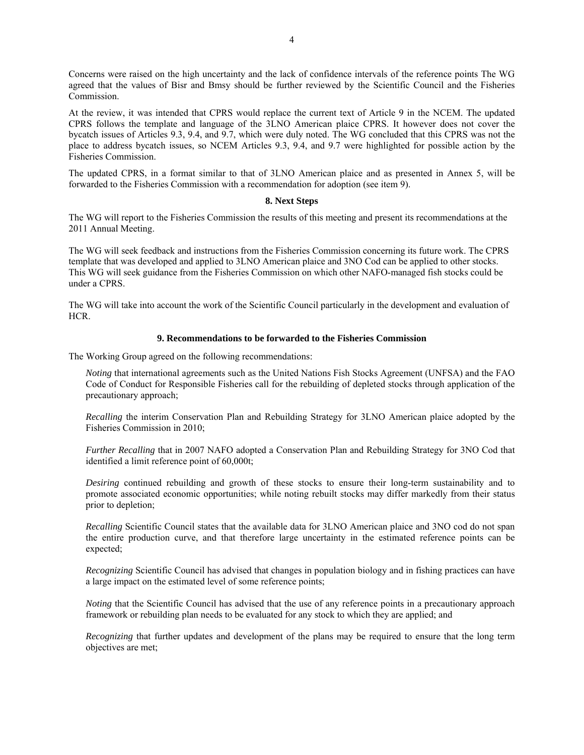Concerns were raised on the high uncertainty and the lack of confidence intervals of the reference points The WG agreed that the values of Bisr and Bmsy should be further reviewed by the Scientific Council and the Fisheries Commission.

At the review, it was intended that CPRS would replace the current text of Article 9 in the NCEM. The updated CPRS follows the template and language of the 3LNO American plaice CPRS. It however does not cover the bycatch issues of Articles 9.3, 9.4, and 9.7, which were duly noted. The WG concluded that this CPRS was not the place to address bycatch issues, so NCEM Articles 9.3, 9.4, and 9.7 were highlighted for possible action by the Fisheries Commission.

The updated CPRS, in a format similar to that of 3LNO American plaice and as presented in Annex 5, will be forwarded to the Fisheries Commission with a recommendation for adoption (see item 9).

#### **8. Next Steps**

The WG will report to the Fisheries Commission the results of this meeting and present its recommendations at the 2011 Annual Meeting.

The WG will seek feedback and instructions from the Fisheries Commission concerning its future work. The CPRS template that was developed and applied to 3LNO American plaice and 3NO Cod can be applied to other stocks. This WG will seek guidance from the Fisheries Commission on which other NAFO-managed fish stocks could be under a CPRS.

The WG will take into account the work of the Scientific Council particularly in the development and evaluation of HCR.

#### **9. Recommendations to be forwarded to the Fisheries Commission**

The Working Group agreed on the following recommendations:

*Noting* that international agreements such as the United Nations Fish Stocks Agreement (UNFSA) and the FAO Code of Conduct for Responsible Fisheries call for the rebuilding of depleted stocks through application of the precautionary approach;

*Recalling* the interim Conservation Plan and Rebuilding Strategy for 3LNO American plaice adopted by the Fisheries Commission in 2010;

*Further Recalling* that in 2007 NAFO adopted a Conservation Plan and Rebuilding Strategy for 3NO Cod that identified a limit reference point of 60,000t;

*Desiring* continued rebuilding and growth of these stocks to ensure their long-term sustainability and to promote associated economic opportunities; while noting rebuilt stocks may differ markedly from their status prior to depletion;

*Recalling* Scientific Council states that the available data for 3LNO American plaice and 3NO cod do not span the entire production curve, and that therefore large uncertainty in the estimated reference points can be expected;

*Recognizing* Scientific Council has advised that changes in population biology and in fishing practices can have a large impact on the estimated level of some reference points;

*Noting* that the Scientific Council has advised that the use of any reference points in a precautionary approach framework or rebuilding plan needs to be evaluated for any stock to which they are applied; and

*Recognizing* that further updates and development of the plans may be required to ensure that the long term objectives are met;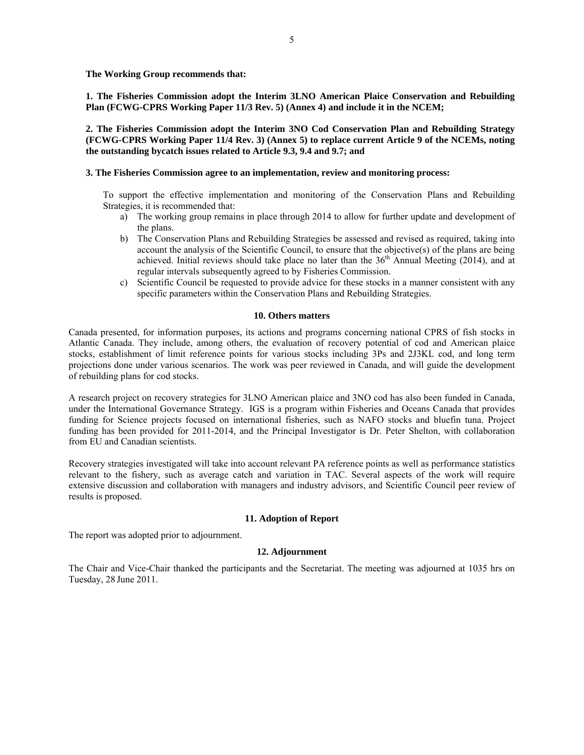**The Working Group recommends that:** 

**1. The Fisheries Commission adopt the Interim 3LNO American Plaice Conservation and Rebuilding Plan (FCWG-CPRS Working Paper 11/3 Rev. 5) (Annex 4) and include it in the NCEM;** 

**2. The Fisheries Commission adopt the Interim 3NO Cod Conservation Plan and Rebuilding Strategy (FCWG-CPRS Working Paper 11/4 Rev. 3) (Annex 5) to replace current Article 9 of the NCEMs, noting the outstanding bycatch issues related to Article 9.3, 9.4 and 9.7; and** 

#### **3. The Fisheries Commission agree to an implementation, review and monitoring process:**

To support the effective implementation and monitoring of the Conservation Plans and Rebuilding Strategies, it is recommended that:

- a) The working group remains in place through 2014 to allow for further update and development of the plans.
- b) The Conservation Plans and Rebuilding Strategies be assessed and revised as required, taking into account the analysis of the Scientific Council, to ensure that the objective(s) of the plans are being achieved. Initial reviews should take place no later than the  $36<sup>th</sup>$  Annual Meeting (2014), and at regular intervals subsequently agreed to by Fisheries Commission.
- c) Scientific Council be requested to provide advice for these stocks in a manner consistent with any specific parameters within the Conservation Plans and Rebuilding Strategies.

# **10. Others matters**

Canada presented, for information purposes, its actions and programs concerning national CPRS of fish stocks in Atlantic Canada. They include, among others, the evaluation of recovery potential of cod and American plaice stocks, establishment of limit reference points for various stocks including 3Ps and 2J3KL cod, and long term projections done under various scenarios. The work was peer reviewed in Canada, and will guide the development of rebuilding plans for cod stocks.

A research project on recovery strategies for 3LNO American plaice and 3NO cod has also been funded in Canada, under the International Governance Strategy. IGS is a program within Fisheries and Oceans Canada that provides funding for Science projects focused on international fisheries, such as NAFO stocks and bluefin tuna. Project funding has been provided for 2011-2014, and the Principal Investigator is Dr. Peter Shelton, with collaboration from EU and Canadian scientists.

Recovery strategies investigated will take into account relevant PA reference points as well as performance statistics relevant to the fishery, such as average catch and variation in TAC. Several aspects of the work will require extensive discussion and collaboration with managers and industry advisors, and Scientific Council peer review of results is proposed.

# **11. Adoption of Report**

The report was adopted prior to adjournment.

# **12. Adjournment**

The Chair and Vice-Chair thanked the participants and the Secretariat. The meeting was adjourned at 1035 hrs on Tuesday, 28 June 2011.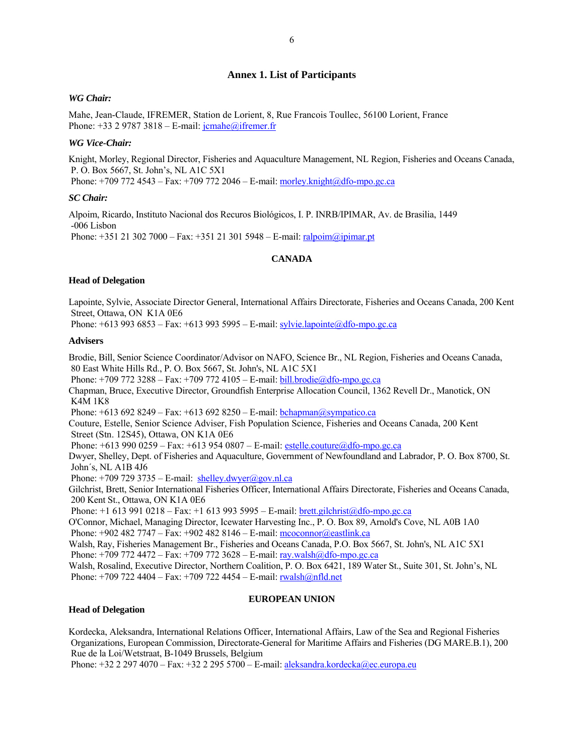# **Annex 1. List of Participants**

#### *WG Chair:*

Mahe, Jean-Claude, IFREMER, Station de Lorient, 8, Rue Francois Toullec, 56100 Lorient, France Phone:  $+33$  2 9787 3818 – E-mail: jcmahe@ifremer.fr

#### *WG Vice-Chair:*

Knight, Morley, Regional Director, Fisheries and Aquaculture Management, NL Region, Fisheries and Oceans Canada, P. O. Box 5667, St. John's, NL A1C 5X1 Phone:  $+709$  772 4543 – Fax:  $+709$  772 2046 – E-mail: morley.knight@dfo-mpo.gc.ca

#### *SC Chair:*

Alpoim, Ricardo, Instituto Nacional dos Recuros Biológicos, I. P. INRB/IPIMAR, Av. de Brasilia, 1449 -006 Lisbon Phone:  $+351 21 302 7000 - Fax: +351 21 301 5948 - E-mail: [ralpoim@ipimar.pdf](mailto:ralpoim@ipimar.pdf)$ 

#### **CANADA**

#### **Head of Delegation**

Lapointe, Sylvie, Associate Director General, International Affairs Directorate, Fisheries and Oceans Canada, 200 Kent Street, Ottawa, ON K1A 0E6

Phone:  $+6139936853 - Fax: +613993595 - E-mail: sylvie.lapointe@dfo-mpo.gc.ca$ 

#### **Advisers**

Brodie, Bill, Senior Science Coordinator/Advisor on NAFO, Science Br., NL Region, Fisheries and Oceans Canada, 80 East White Hills Rd., P. O. Box 5667, St. John's, NL A1C 5X1

Phone: +709 772 3288 – Fax: +709 772 4105 – E-mail: bill.brodie@dfo-mpo.gc.ca

Chapman, Bruce, Executive Director, Groundfish Enterprise Allocation Council, 1362 Revell Dr., Manotick, ON K4M 1K8

Phone:  $+6136928249 - Fax: +6136928250 - E-mail: [bchapman@sympatico.ca](mailto:bchapman@sympatico.ca)$ 

Couture, Estelle, Senior Science Adviser, Fish Population Science, Fisheries and Oceans Canada, 200 Kent Street (Stn. 12S45), Ottawa, ON K1A 0E6

Phone:  $+6139900259 - Fax: +6139540807 - E-mail: \text{estelle.couture@dfo-mpo.gc.ca}$ 

Dwyer, Shelley, Dept. of Fisheries and Aquaculture, Government of Newfoundland and Labrador, P. O. Box 8700, St. John´s, NL A1B 4J6

Phone:  $+7097293735 -$  E-mail: shelley.dwyer@gov.nl.ca

Gilchrist, Brett, Senior International Fisheries Officer, International Affairs Directorate, Fisheries and Oceans Canada, 200 Kent St., Ottawa, ON K1A 0E6

Phone:  $+1$  613 991 0218 – Fax:  $+1$  613 993 5995 – E-mail: brett.gilchrist@dfo-mpo.gc.ca

O'Connor, Michael, Managing Director, Icewater Harvesting Inc., P. O. Box 89, Arnold's Cove, NL A0B 1A0 Phone: +902 482 7747 – Fax: +902 482 8146 – E-mail: mcoconnor@eastlink.ca

Walsh, Ray, Fisheries Management Br., Fisheries and Oceans Canada, P.O. Box 5667, St. John's, NL A1C 5X1 Phone: +709 772 4472 – Fax: +709 772 3628 – E-mail:  $r$ ay.walsh $\omega$ dfo-mpo.gc.ca

Walsh, Rosalind, Executive Director, Northern Coalition, P. O. Box 6421, 189 Water St., Suite 301, St. John's, NL Phone: +709 722 4404 – Fax: +709 722 4454 – E-mail: rwalsh@nfld.net

#### **EUROPEAN UNION**

#### **Head of Delegation**

Kordecka, Aleksandra, International Relations Officer, International Affairs, Law of the Sea and Regional Fisheries Organizations, European Commission, Directorate-General for Maritime Affairs and Fisheries (DG MARE.B.1), 200 Rue de la Loi/Wetstraat, B-1049 Brussels, Belgium

Phone: +32 2 297 4070 – Fax: +32 2 295 5700 – E-mail: aleksandra.kordecka@ec.europa.eu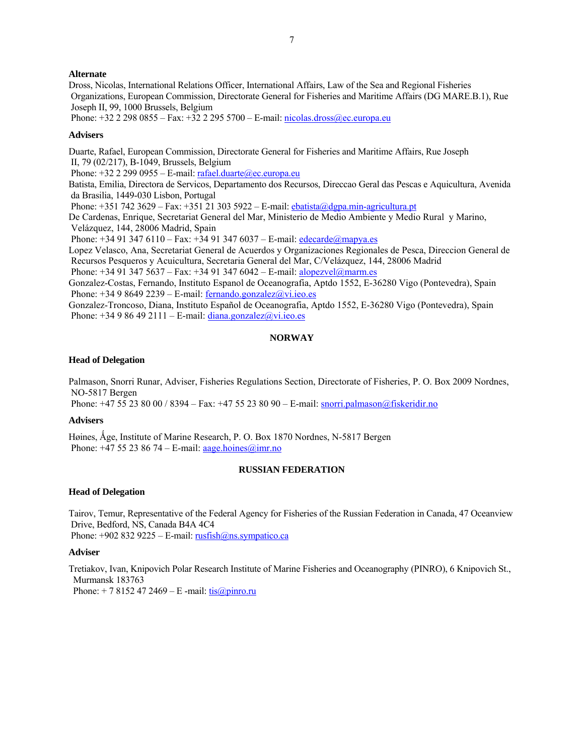# **Alternate**

Dross, Nicolas, International Relations Officer, International Affairs, Law of the Sea and Regional Fisheries Organizations, European Commission, Directorate General for Fisheries and Maritime Affairs (DG MARE.B.1), Rue Joseph II, 99, 1000 Brussels, Belgium

Phone: +32 2 298 0855 – Fax: +32 2 295 5700 – E-mail: nicolas.dross@ec.europa.eu

#### **Advisers**

Duarte, Rafael, European Commission, Directorate General for Fisheries and Maritime Affairs, Rue Joseph II, 79 (02/217), B-1049, Brussels, Belgium

Phone:  $+32$  2 299 0955 – E-mail: rafael.duarte@ec.europa.eu

Batista, Emilia, Directora de Servicos, Departamento dos Recursos, Direccao Geral das Pescas e Aquicultura, Avenida da Brasilia, 1449-030 Lisbon, Portugal

Phone: +351 742 3629 – Fax: +351 21 303 5922 – E-mail: ebatista@dgpa.min-agricultura.pt

De Cardenas, Enrique, Secretariat General del Mar, Ministerio de Medio Ambiente y Medio Rural y Marino, Velázquez, 144, 28006 Madrid, Spain

Phone:  $+34913476110 - Fax$ :  $+34913476037 - E-mail$ : edecarde@mapya.es

Lopez Velasco, Ana, Secretariat General de Acuerdos y Organizaciones Regionales de Pesca, Direccion General de Recursos Pesqueros y Acuicultura, Secretaria General del Mar, C/Velázquez, 144, 28006 Madrid

Phone:  $+34913475637 - Fax: +34913476042 - E-mail: [alopezvel@marm.es](mailto:alopezvel@marm.es)$ 

Gonzalez-Costas, Fernando, Instituto Espanol de Oceanografia, Aptdo 1552, E-36280 Vigo (Pontevedra), Spain Phone:  $+34986492239 - E$ -mail: fernando.gonzalez@vi.ieo.es

Gonzalez-Troncoso, Diana, Instituto Español de Oceanografia, Aptdo 1552, E-36280 Vigo (Pontevedra), Spain Phone:  $+34986492111 - E-mail$ : diana.gonzalez@vi.ieo.es

# **NORWAY**

#### **Head of Delegation**

Palmason, Snorri Runar, Adviser, Fisheries Regulations Section, Directorate of Fisheries, P. O. Box 2009 Nordnes, NO-5817 Bergen

Phone: +47 55 23 80 00 / 8394 – Fax: +47 55 23 80 90 – E-mail: snorri.palmason@fiskeridir.no

## **Advisers**

Høines, Åge, Institute of Marine Research, P. O. Box 1870 Nordnes, N-5817 Bergen Phone:  $+47$  55 23 86 74 – E-mail: aage.hoines@imr.no

## **RUSSIAN FEDERATION**

#### **Head of Delegation**

Tairov, Temur, Representative of the Federal Agency for Fisheries of the Russian Federation in Canada, 47 Oceanview Drive, Bedford, NS, Canada B4A 4C4 Phone:  $+9028329225 - E$ -mail: rusfish $@$ ns.sympatico.ca

#### **Adviser**

Tretiakov, Ivan, Knipovich Polar Research Institute of Marine Fisheries and Oceanography (PINRO), 6 Knipovich St., Murmansk 183763

Phone:  $+ 78152472469 - E$  -mail: tis $\omega$ pinro.ru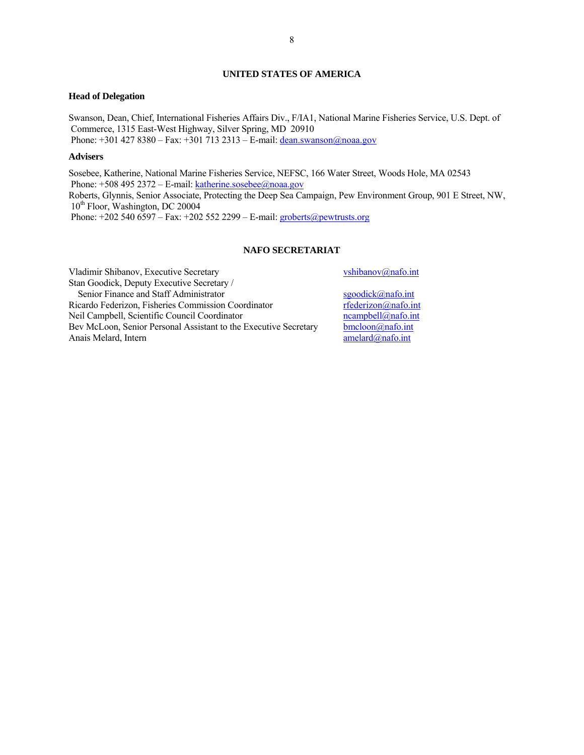# **UNITED STATES OF AMERICA**

#### **Head of Delegation**

Swanson, Dean, Chief, International Fisheries Affairs Div., F/IA1, National Marine Fisheries Service, U.S. Dept. of Commerce, 1315 East-West Highway, Silver Spring, MD 20910 Phone:  $+301 427 8380 - Fax: +301 713 2313 - E-mail: [dean.swanson@noaa.gov](mailto:dean.swanson@noaa.gov)$ 

# **Advisers**

Sosebee, Katherine, National Marine Fisheries Service, NEFSC, 166 Water Street, Woods Hole, MA 02543 Phone:  $+5084952372 - E$ -mail: katherine.sosebee@noaa.gov Roberts, Glynnis, Senior Associate, Protecting the Deep Sea Campaign, Pew Environment Group, 901 E Street, NW, 10<sup>th</sup> Floor, Washington, DC 20004 Phone:  $+2025406597 - Fax: +202552299 - E-mail: [groberts@pewtrusts.org](mailto:groberts@pewtrusts.org)$ 

# **NAFO SECRETARIAT**

Vladimir Shibanov, Executive Secretary vshibanov@nafo.int Stan Goodick, Deputy Executive Secretary / Senior Finance and Staff Administrator sgoodick@nafo.int Ricardo Federizon, Fisheries Commission Coordinator rederizon@nafo.int<br>
Neil Campbell, Scientific Council Coordinator reduces reampbell@nafo.int Neil Campbell, Scientific Council Coordinator Bev McLoon, Senior Personal Assistant to the Executive Secretary bomcloon@nafo.int<br>Anais Melard. Internet and anaformation of the Executive Secretary and anaformation and anaformation of the sense of the sense of the sense Anais Melard, Intern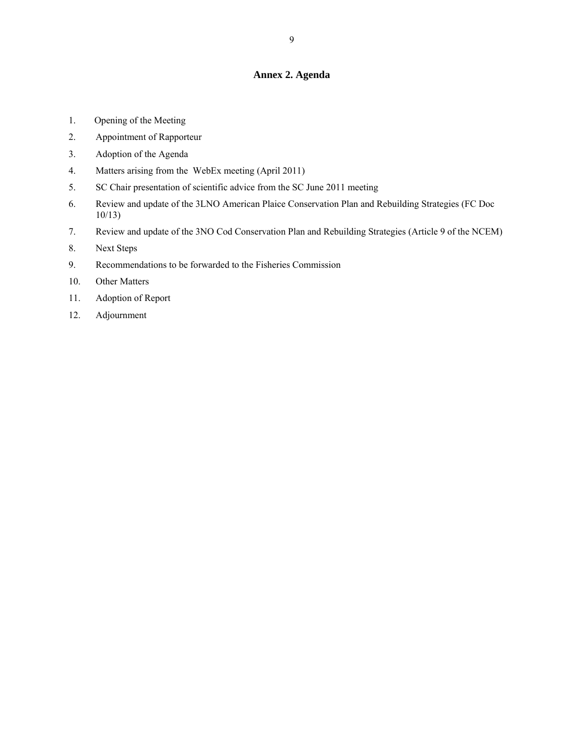# **Annex 2. Agenda**

- 1. Opening of the Meeting
- 2. Appointment of Rapporteur
- 3. Adoption of the Agenda
- 4. Matters arising from the WebEx meeting (April 2011)
- 5. SC Chair presentation of scientific advice from the SC June 2011 meeting
- 6. Review and update of the 3LNO American Plaice Conservation Plan and Rebuilding Strategies (FC Doc 10/13)
- 7. Review and update of the 3NO Cod Conservation Plan and Rebuilding Strategies (Article 9 of the NCEM)
- 8. Next Steps
- 9. Recommendations to be forwarded to the Fisheries Commission
- 10. Other Matters
- 11. Adoption of Report
- 12. Adjournment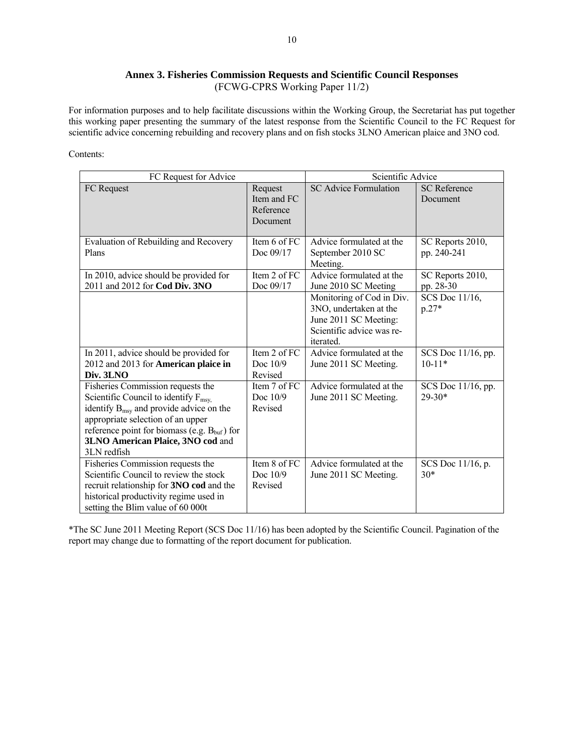# **Annex 3. Fisheries Commission Requests and Scientific Council Responses**  (FCWG-CPRS Working Paper 11/2)

For information purposes and to help facilitate discussions within the Working Group, the Secretariat has put together this working paper presenting the summary of the latest response from the Scientific Council to the FC Request for scientific advice concerning rebuilding and recovery plans and on fish stocks 3LNO American plaice and 3NO cod.

# Contents:

| FC Request for Advice                                                                                                                                                                                                                                                                     |                                                 | Scientific Advice                                                                                                             |                                 |  |
|-------------------------------------------------------------------------------------------------------------------------------------------------------------------------------------------------------------------------------------------------------------------------------------------|-------------------------------------------------|-------------------------------------------------------------------------------------------------------------------------------|---------------------------------|--|
| FC Request                                                                                                                                                                                                                                                                                | Request<br>Item and FC<br>Reference<br>Document | <b>SC Advice Formulation</b>                                                                                                  | <b>SC</b> Reference<br>Document |  |
| Evaluation of Rebuilding and Recovery<br>Plans                                                                                                                                                                                                                                            | Item 6 of FC<br>Doc 09/17                       | Advice formulated at the<br>September 2010 SC<br>Meeting.                                                                     | SC Reports 2010,<br>pp. 240-241 |  |
| In 2010, advice should be provided for<br>2011 and 2012 for Cod Div. 3NO                                                                                                                                                                                                                  | Item 2 of FC<br>Doc 09/17                       | Advice formulated at the<br>June 2010 SC Meeting                                                                              | SC Reports 2010,<br>pp. 28-30   |  |
|                                                                                                                                                                                                                                                                                           |                                                 | Monitoring of Cod in Div.<br>3NO, undertaken at the<br>June 2011 SC Meeting:<br>Scientific advice was re-<br><i>iterated.</i> | SCS Doc 11/16,<br>$p.27*$       |  |
| In 2011, advice should be provided for<br>2012 and 2013 for American plaice in<br>Div. 3LNO                                                                                                                                                                                               | Item 2 of FC<br>Doc $10/9$<br>Revised           | Advice formulated at the<br>June 2011 SC Meeting.                                                                             | SCS Doc 11/16, pp.<br>$10-11*$  |  |
| Fisheries Commission requests the<br>Scientific Council to identify $F_{\text{msy}}$<br>identify $B_{msv}$ and provide advice on the<br>appropriate selection of an upper<br>reference point for biomass (e.g. $B_{\text{buf}}$ ) for<br>3LNO American Plaice, 3NO cod and<br>3LN redfish | Item 7 of FC<br>Doc $10/9$<br>Revised           | Advice formulated at the<br>June 2011 SC Meeting.                                                                             | SCS Doc 11/16, pp.<br>$29-30*$  |  |
| Fisheries Commission requests the<br>Scientific Council to review the stock<br>recruit relationship for 3NO cod and the<br>historical productivity regime used in<br>setting the Blim value of 60 000t                                                                                    | Item 8 of FC<br>Doc $10/9$<br>Revised           | Advice formulated at the<br>June 2011 SC Meeting.                                                                             | SCS Doc 11/16, p.<br>$30*$      |  |

\*The SC June 2011 Meeting Report (SCS Doc 11/16) has been adopted by the Scientific Council. Pagination of the report may change due to formatting of the report document for publication.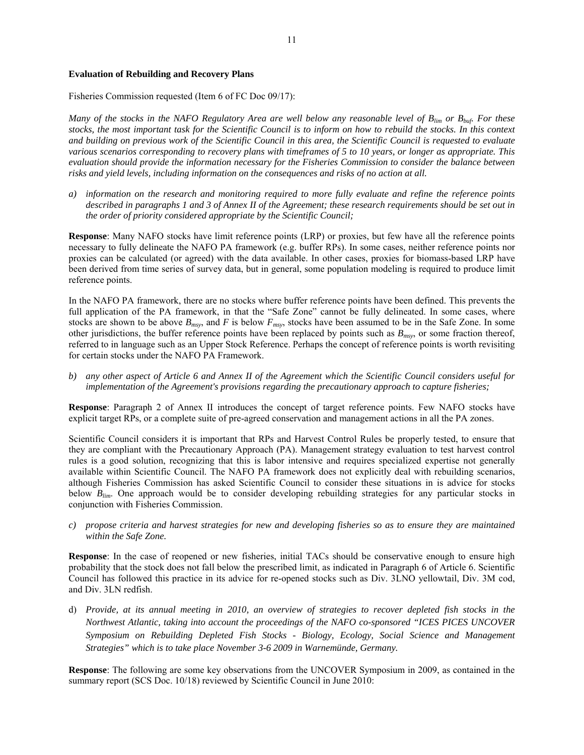#### **Evaluation of Rebuilding and Recovery Plans**

Fisheries Commission requested (Item 6 of FC Doc 09/17):

*Many of the stocks in the NAFO Regulatory Area are well below any reasonable level of B<sub>lim</sub> or B<sub>buf</sub>. For these stocks, the most important task for the Scientific Council is to inform on how to rebuild the stocks. In this context and building on previous work of the Scientific Council in this area, the Scientific Council is requested to evaluate various scenarios corresponding to recovery plans with timeframes of 5 to 10 years, or longer as appropriate. This evaluation should provide the information necessary for the Fisheries Commission to consider the balance between risks and yield levels, including information on the consequences and risks of no action at all.* 

*a) information on the research and monitoring required to more fully evaluate and refine the reference points described in paragraphs 1 and 3 of Annex II of the Agreement; these research requirements should be set out in the order of priority considered appropriate by the Scientific Council;* 

**Response**: Many NAFO stocks have limit reference points (LRP) or proxies, but few have all the reference points necessary to fully delineate the NAFO PA framework (e.g. buffer RPs). In some cases, neither reference points nor proxies can be calculated (or agreed) with the data available. In other cases, proxies for biomass-based LRP have been derived from time series of survey data, but in general, some population modeling is required to produce limit reference points.

In the NAFO PA framework, there are no stocks where buffer reference points have been defined. This prevents the full application of the PA framework, in that the "Safe Zone" cannot be fully delineated. In some cases, where stocks are shown to be above  $B_{msy}$ , and *F* is below  $F_{msy}$ , stocks have been assumed to be in the Safe Zone. In some other jurisdictions, the buffer reference points have been replaced by points such as  $B_{msv}$ , or some fraction thereof, referred to in language such as an Upper Stock Reference. Perhaps the concept of reference points is worth revisiting for certain stocks under the NAFO PA Framework.

*b) any other aspect of Article 6 and Annex II of the Agreement which the Scientific Council considers useful for implementation of the Agreement's provisions regarding the precautionary approach to capture fisheries;* 

**Response**: Paragraph 2 of Annex II introduces the concept of target reference points. Few NAFO stocks have explicit target RPs, or a complete suite of pre-agreed conservation and management actions in all the PA zones.

Scientific Council considers it is important that RPs and Harvest Control Rules be properly tested, to ensure that they are compliant with the Precautionary Approach (PA). Management strategy evaluation to test harvest control rules is a good solution, recognizing that this is labor intensive and requires specialized expertise not generally available within Scientific Council. The NAFO PA framework does not explicitly deal with rebuilding scenarios, although Fisheries Commission has asked Scientific Council to consider these situations in is advice for stocks below *Blim*. One approach would be to consider developing rebuilding strategies for any particular stocks in conjunction with Fisheries Commission.

*c) propose criteria and harvest strategies for new and developing fisheries so as to ensure they are maintained within the Safe Zone.* 

**Response**: In the case of reopened or new fisheries, initial TACs should be conservative enough to ensure high probability that the stock does not fall below the prescribed limit, as indicated in Paragraph 6 of Article 6. Scientific Council has followed this practice in its advice for re-opened stocks such as Div. 3LNO yellowtail, Div. 3M cod, and Div. 3LN redfish.

d) *Provide, at its annual meeting in 2010, an overview of strategies to recover depleted fish stocks in the Northwest Atlantic, taking into account the proceedings of the NAFO co-sponsored "ICES PICES UNCOVER Symposium on Rebuilding Depleted Fish Stocks - Biology, Ecology, Social Science and Management Strategies" which is to take place November 3-6 2009 in Warnemünde, Germany.* 

**Response**: The following are some key observations from the UNCOVER Symposium in 2009, as contained in the summary report (SCS Doc. 10/18) reviewed by Scientific Council in June 2010: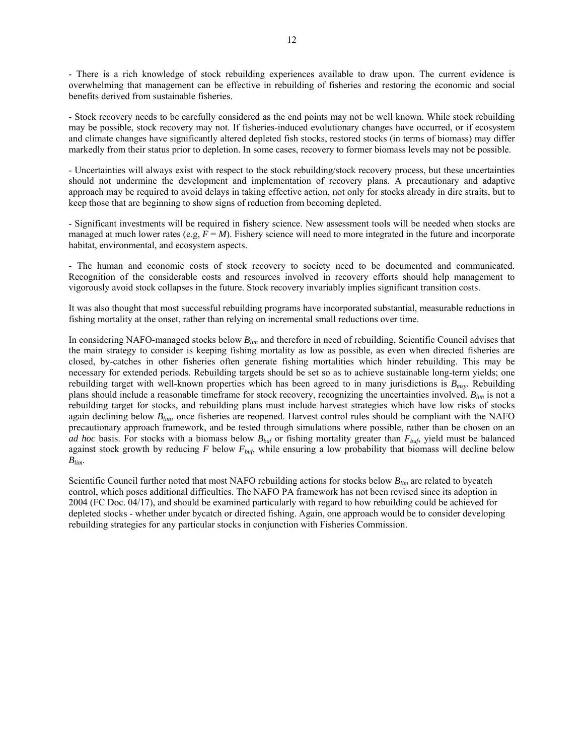- There is a rich knowledge of stock rebuilding experiences available to draw upon. The current evidence is overwhelming that management can be effective in rebuilding of fisheries and restoring the economic and social benefits derived from sustainable fisheries.

- Stock recovery needs to be carefully considered as the end points may not be well known. While stock rebuilding may be possible, stock recovery may not. If fisheries-induced evolutionary changes have occurred, or if ecosystem and climate changes have significantly altered depleted fish stocks, restored stocks (in terms of biomass) may differ markedly from their status prior to depletion. In some cases, recovery to former biomass levels may not be possible.

- Uncertainties will always exist with respect to the stock rebuilding/stock recovery process, but these uncertainties should not undermine the development and implementation of recovery plans. A precautionary and adaptive approach may be required to avoid delays in taking effective action, not only for stocks already in dire straits, but to keep those that are beginning to show signs of reduction from becoming depleted.

- Significant investments will be required in fishery science. New assessment tools will be needed when stocks are managed at much lower rates (e.g,  $F = M$ ). Fishery science will need to more integrated in the future and incorporate habitat, environmental, and ecosystem aspects.

- The human and economic costs of stock recovery to society need to be documented and communicated. Recognition of the considerable costs and resources involved in recovery efforts should help management to vigorously avoid stock collapses in the future. Stock recovery invariably implies significant transition costs.

It was also thought that most successful rebuilding programs have incorporated substantial, measurable reductions in fishing mortality at the onset, rather than relying on incremental small reductions over time.

In considering NAFO-managed stocks below *Blim* and therefore in need of rebuilding, Scientific Council advises that the main strategy to consider is keeping fishing mortality as low as possible, as even when directed fisheries are closed, by-catches in other fisheries often generate fishing mortalities which hinder rebuilding. This may be necessary for extended periods. Rebuilding targets should be set so as to achieve sustainable long-term yields; one rebuilding target with well-known properties which has been agreed to in many jurisdictions is *Bmsy*. Rebuilding plans should include a reasonable timeframe for stock recovery, recognizing the uncertainties involved. *Blim* is not a rebuilding target for stocks, and rebuilding plans must include harvest strategies which have low risks of stocks again declining below *Blim*, once fisheries are reopened. Harvest control rules should be compliant with the NAFO precautionary approach framework, and be tested through simulations where possible, rather than be chosen on an *ad hoc* basis. For stocks with a biomass below *Bbuf* or fishing mortality greater than *Fbuf*, yield must be balanced against stock growth by reducing *F* below *Fbuf*, while ensuring a low probability that biomass will decline below *Blim*.

Scientific Council further noted that most NAFO rebuilding actions for stocks below *Blim* are related to bycatch control, which poses additional difficulties. The NAFO PA framework has not been revised since its adoption in 2004 (FC Doc. 04/17), and should be examined particularly with regard to how rebuilding could be achieved for depleted stocks - whether under bycatch or directed fishing. Again, one approach would be to consider developing rebuilding strategies for any particular stocks in conjunction with Fisheries Commission.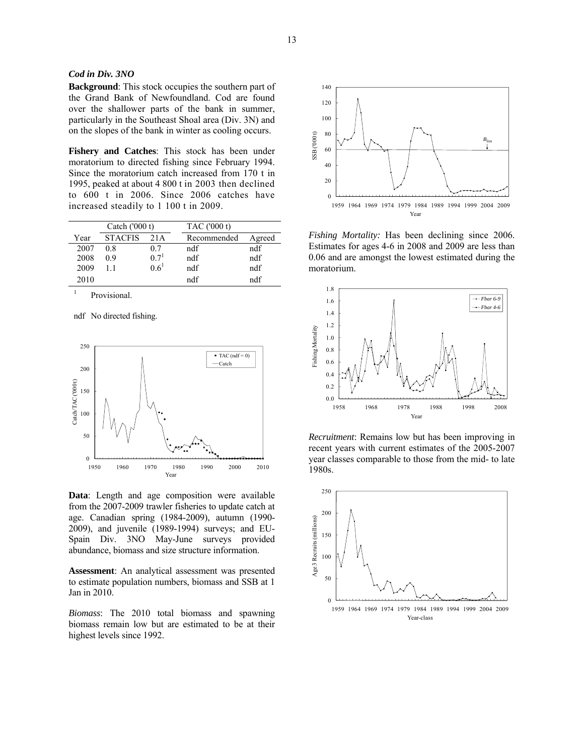# *Cod in Div. 3NO*

**Background**: This stock occupies the southern part of the Grand Bank of Newfoundland. Cod are found over the shallower parts of the bank in summer, particularly in the Southeast Shoal area (Div. 3N) and on the slopes of the bank in winter as cooling occurs.

**Fishery and Catches**: This stock has been under moratorium to directed fishing since February 1994. Since the moratorium catch increased from 170 t in 1995, peaked at about 4 800 t in 2003 then declined to 600 t in 2006. Since 2006 catches have increased steadily to 1 100 t in 2009.

| Catch $(000 t)$ |                |                  | TAC ('000 t) |        |  |
|-----------------|----------------|------------------|--------------|--------|--|
| Year            | <b>STACFIS</b> | 21 A             | Recommended  | Agreed |  |
| 2007            | 08             | 07               | ndf          | ndf    |  |
| 2008            | 09             | 0.7 <sup>1</sup> | ndf          | ndf    |  |
| 2009            |                | $0.6^1$          | ndf          | ndf    |  |
| 2010            |                |                  | ndf          | ndf    |  |

1 Provisional.

ndf No directed fishing.



**Data**: Length and age composition were available from the 2007-2009 trawler fisheries to update catch at age. Canadian spring (1984-2009), autumn (1990- 2009), and juvenile (1989-1994) surveys; and EU-Spain Div. 3NO May-June surveys provided abundance, biomass and size structure information.

**Assessment**: An analytical assessment was presented to estimate population numbers, biomass and SSB at 1 Jan in 2010.

*Biomass*: The 2010 total biomass and spawning biomass remain low but are estimated to be at their highest levels since 1992.



*Fishing Mortality:* Has been declining since 2006. Estimates for ages 4-6 in 2008 and 2009 are less than 0.06 and are amongst the lowest estimated during the moratorium.



*Recruitment*: Remains low but has been improving in recent years with current estimates of the 2005-2007 year classes comparable to those from the mid- to late 1980s.

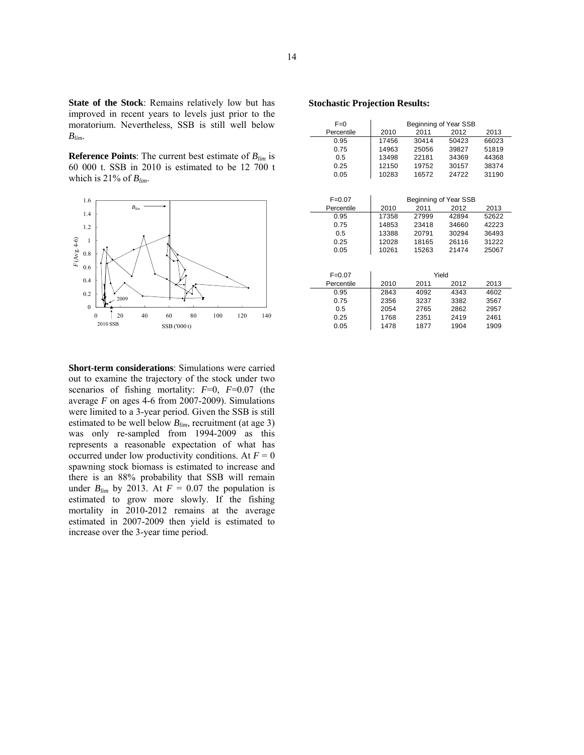**State of the Stock**: Remains relatively low but has improved in recent years to levels just prior to the moratorium. Nevertheless, SSB is still well below *Blim*.

**Reference Points**: The current best estimate of *Blim* is 60 000 t. SSB in 2010 is estimated to be 12 700 t which is 21% of  $B_{lim}$ .



**Stochastic Projection Results:** 

| $F=0$      | Beginning of Year SSB |       |       |       |  |
|------------|-----------------------|-------|-------|-------|--|
| Percentile | 2010                  | 2011  | 2012  | 2013  |  |
| 0.95       | 17456                 | 30414 | 50423 | 66023 |  |
| 0.75       | 14963                 | 25056 | 39827 | 51819 |  |
| 0.5        | 13498                 | 22181 | 34369 | 44368 |  |
| 0.25       | 12150                 | 19752 | 30157 | 38374 |  |
| 0.05       | 10283                 | 16572 | 24722 | 31190 |  |
|            |                       |       |       |       |  |

| $F=0.07$   | Beginning of Year SSB |       |       |       |
|------------|-----------------------|-------|-------|-------|
| Percentile | 2010                  | 2011  | 2012  | 2013  |
| 0.95       | 17358                 | 27999 | 42894 | 52622 |
| 0.75       | 14853                 | 23418 | 34660 | 42223 |
| 0.5        | 13388                 | 20791 | 30294 | 36493 |
| 0.25       | 12028                 | 18165 | 26116 | 31222 |
| 0.05       | 10261                 | 15263 | 21474 | 25067 |
|            |                       |       |       |       |
|            |                       |       |       |       |
| $F=0.07$   |                       | Yield |       |       |
| Percentile | 2010                  | 2011  | 2012  | 2013  |
| 0.95       | 2843                  | 4092  | 4343  | 4602  |
| 0.75       | 2356                  | 3237  | 3382  | 3567  |
| 0.5        | 2054                  | 2765  | 2862  | 2957  |
| 0.25       | 1768                  | 2351  | 2419  | 2461  |
| 0.05       | 1478                  | 1877  | 1904  | 1909  |

**Short-term considerations**: Simulations were carried out to examine the trajectory of the stock under two scenarios of fishing mortality: *F*=0, *F*=0.07 (the average *F* on ages 4-6 from 2007-2009). Simulations were limited to a 3-year period. Given the SSB is still estimated to be well below *Blim*, recruitment (at age 3) was only re-sampled from 1994-2009 as this represents a reasonable expectation of what has occurred under low productivity conditions. At  $F = 0$ spawning stock biomass is estimated to increase and there is an 88% probability that SSB will remain under  $B_{lim}$  by 2013. At  $F = 0.07$  the population is estimated to grow more slowly. If the fishing mortality in 2010-2012 remains at the average estimated in 2007-2009 then yield is estimated to increase over the 3-year time period.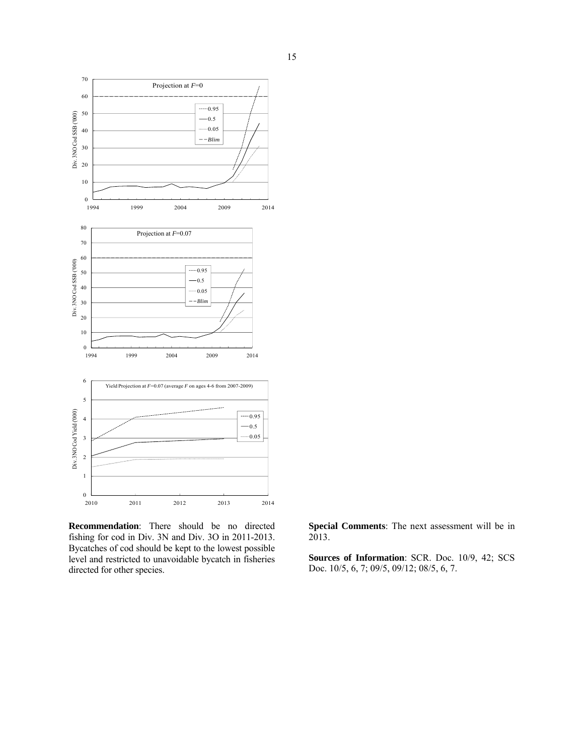

**Recommendation**: There should be no directed fishing for cod in Div. 3N and Div. 3O in 2011-2013. Bycatches of cod should be kept to the lowest possible level and restricted to unavoidable bycatch in fisheries directed for other species.

**Special Comments**: The next assessment will be in 2013.

**Sources of Information**: SCR. Doc. 10/9, 42; SCS Doc. 10/5, 6, 7; 09/5, 09/12; 08/5, 6, 7.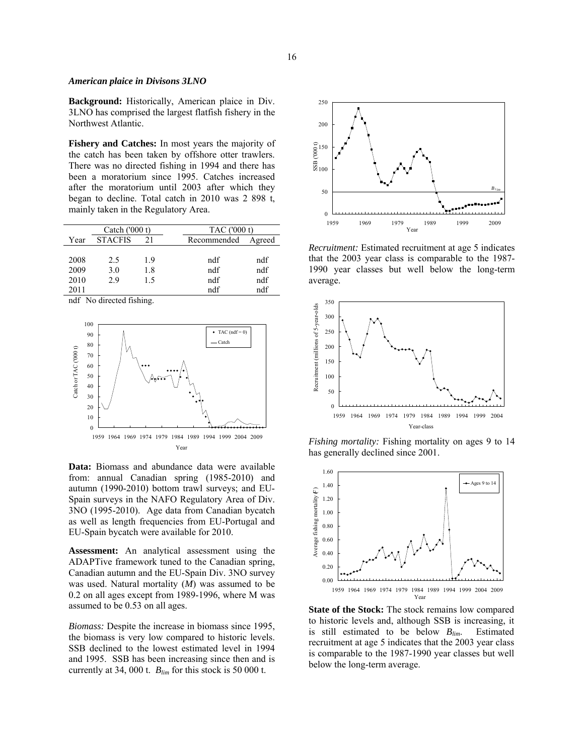#### *American plaice in Divisons 3LNO*

**Background:** Historically, American plaice in Div. 3LNO has comprised the largest flatfish fishery in the Northwest Atlantic.

**Fishery and Catches:** In most years the majority of the catch has been taken by offshore otter trawlers. There was no directed fishing in 1994 and there has been a moratorium since 1995. Catches increased after the moratorium until 2003 after which they began to decline. Total catch in 2010 was 2 898 t, mainly taken in the Regulatory Area.

| Catch $(000 t)$ |                |     |             | TAC ('000 t) |  |  |
|-----------------|----------------|-----|-------------|--------------|--|--|
| Year            | <b>STACFIS</b> | 21  | Recommended | Agreed       |  |  |
|                 |                |     |             |              |  |  |
| 2008            | 2.5            | 1.9 | ndf         | ndf          |  |  |
| 2009            | 3.0            | 1.8 | ndf         | ndf          |  |  |
| 2010            | 2.9            | 15  | ndf         | ndf          |  |  |
| 2011            |                |     | ndf         | ndf          |  |  |

ndf No directed fishing.



**Data:** Biomass and abundance data were available from: annual Canadian spring (1985-2010) and autumn (1990-2010) bottom trawl surveys; and EU-Spain surveys in the NAFO Regulatory Area of Div. 3NO (1995-2010). Age data from Canadian bycatch as well as length frequencies from EU-Portugal and EU-Spain bycatch were available for 2010.

**Assessment:** An analytical assessment using the ADAPTive framework tuned to the Canadian spring, Canadian autumn and the EU-Spain Div. 3NO survey was used. Natural mortality (*M*) was assumed to be 0.2 on all ages except from 1989-1996, where M was assumed to be 0.53 on all ages.

*Biomass:* Despite the increase in biomass since 1995, the biomass is very low compared to historic levels. SSB declined to the lowest estimated level in 1994 and 1995. SSB has been increasing since then and is currently at 34, 000 t. *Blim* for this stock is 50 000 t.



*Recruitment:* Estimated recruitment at age 5 indicates that the 2003 year class is comparable to the 1987- 1990 year classes but well below the long-term average.



*Fishing mortality:* Fishing mortality on ages 9 to 14 has generally declined since 2001.



**State of the Stock:** The stock remains low compared to historic levels and, although SSB is increasing, it is still estimated to be below *Blim*. Estimated recruitment at age 5 indicates that the 2003 year class is comparable to the 1987-1990 year classes but well below the long-term average.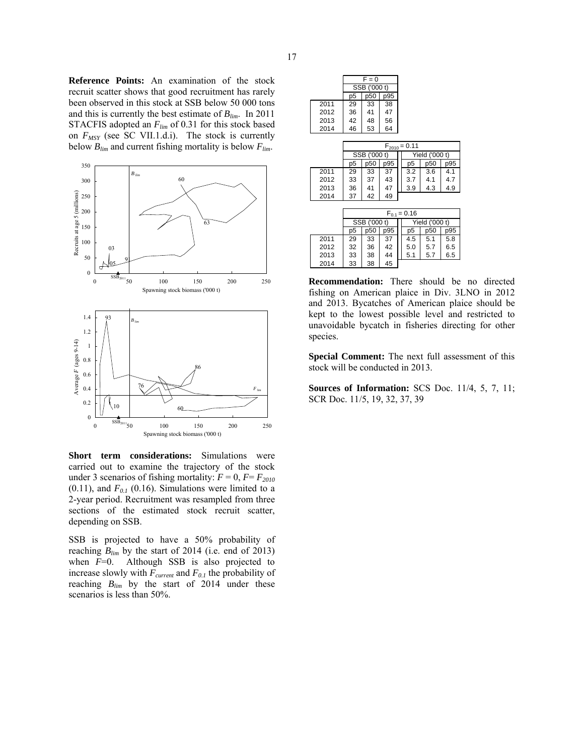**Reference Points:** An examination of the stock recruit scatter shows that good recruitment has rarely been observed in this stock at SSB below 50 000 tons and this is currently the best estimate of *Blim*. In 2011 STACFIS adopted an  $F_{lim}$  of 0.31 for this stock based on  $F_{MSY}$  (see SC VII.1.d.i). The stock is currently below *Blim* and current fishing mortality is below *Flim*.



**Short term considerations:** Simulations were carried out to examine the trajectory of the stock under 3 scenarios of fishing mortality:  $F = 0$ ,  $F = F_{2010}$ (0.11), and  $F_{0,I}$  (0.16). Simulations were limited to a 2-year period. Recruitment was resampled from three sections of the estimated stock recruit scatter, depending on SSB.

SSB is projected to have a 50% probability of reaching  $B_{lim}$  by the start of 2014 (i.e. end of 2013) when *F*=0. Although SSB is also projected to increase slowly with  $F_{current}$  and  $F_{0.1}$  the probability of reaching *Blim* by the start of 2014 under these scenarios is less than 50%.

|                   | $F = 0$      |              |     |                  |     |     |
|-------------------|--------------|--------------|-----|------------------|-----|-----|
|                   |              | SSB ('000 t) |     |                  |     |     |
|                   | p5           | p50          | p95 |                  |     |     |
| 2011              | 29           | 33           | 38  |                  |     |     |
| 2012              | 36           | 41           | 47  |                  |     |     |
| 2013              | 42           | 48           | 56  |                  |     |     |
| 2014              | 46           | 53           | 64  |                  |     |     |
|                   |              |              |     |                  |     |     |
| $F_{2010} = 0.11$ |              |              |     |                  |     |     |
|                   | SSB ('000 t) |              |     | Yield ('000 t)   |     |     |
|                   | p5           | p50          | p95 | p5               | p50 | p95 |
| 2011              | 29           | 33           | 37  | 3.2              | 3.6 | 4.1 |
| 2012              | 33           | 37           | 43  | 3.7              | 4.1 | 4.7 |
| 2013              | 36           | 41           | 47  | 3.9              | 4.3 | 4.9 |
| 2014              | 37           | 42           | 49  |                  |     |     |
|                   |              |              |     |                  |     |     |
|                   |              |              |     | $F_{0.1} = 0.16$ |     |     |
|                   | SSB ('000 t) |              |     | Yield ('000 t)   |     |     |
|                   | p5           | p50          | p95 | p5               | p50 | p95 |
| 2011              | 29           | 33           | 37  | 4.5              | 5.1 | 5.8 |
| 2012              | 32           | 36           | 42  | 5.0              | 5.7 | 6.5 |
| 2013              | 33           | 38           | 44  | 5.1              | 5.7 | 6.5 |
| 2014              | 33           | 38           | 45  |                  |     |     |

**Recommendation:** There should be no directed fishing on American plaice in Div. 3LNO in 2012 and 2013. Bycatches of American plaice should be kept to the lowest possible level and restricted to unavoidable bycatch in fisheries directing for other species.

**Special Comment:** The next full assessment of this stock will be conducted in 2013.

**Sources of Information:** SCS Doc. 11/4, 5, 7, 11; SCR Doc. 11/5, 19, 32, 37, 39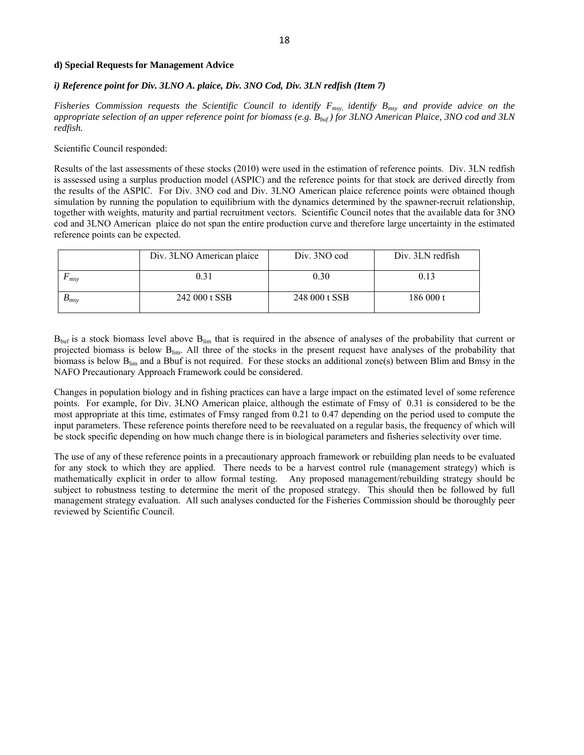#### **d) Special Requests for Management Advice**

#### *i) Reference point for Div. 3LNO A. plaice, Div. 3NO Cod, Div. 3LN redfish (Item 7)*

*Fisheries Commission requests the Scientific Council to identify F<sub>msy</sub>, identify B<sub>msy</sub> and provide advice on the appropriate selection of an upper reference point for biomass (e.g. Bbuf ) for 3LNO American Plaice, 3NO cod and 3LN redfish.* 

Scientific Council responded:

Results of the last assessments of these stocks (2010) were used in the estimation of reference points. Div. 3LN redfish is assessed using a surplus production model (ASPIC) and the reference points for that stock are derived directly from the results of the ASPIC. For Div. 3NO cod and Div. 3LNO American plaice reference points were obtained though simulation by running the population to equilibrium with the dynamics determined by the spawner-recruit relationship, together with weights, maturity and partial recruitment vectors. Scientific Council notes that the available data for 3NO cod and 3LNO American plaice do not span the entire production curve and therefore large uncertainty in the estimated reference points can be expected.

|                          | Div. 3LNO American plaice | Div. 3NO cod  | Div. 3LN redfish |
|--------------------------|---------------------------|---------------|------------------|
| msy                      | 0.31                      | 0.30          | 0.13             |
| $\boldsymbol{\nu}_{msv}$ | 242 000 t SSB             | 248 000 t SSB | 186 000 t        |

 $B_{\text{buf}}$  is a stock biomass level above  $B_{\text{lim}}$  that is required in the absence of analyses of the probability that current or projected biomass is below Blim. All three of the stocks in the present request have analyses of the probability that biomass is below B<sub>lim</sub> and a Bbuf is not required. For these stocks an additional zone(s) between Blim and Bmsy in the NAFO Precautionary Approach Framework could be considered.

Changes in population biology and in fishing practices can have a large impact on the estimated level of some reference points. For example, for Div. 3LNO American plaice, although the estimate of Fmsy of 0.31 is considered to be the most appropriate at this time, estimates of Fmsy ranged from 0.21 to 0.47 depending on the period used to compute the input parameters. These reference points therefore need to be reevaluated on a regular basis, the frequency of which will be stock specific depending on how much change there is in biological parameters and fisheries selectivity over time.

The use of any of these reference points in a precautionary approach framework or rebuilding plan needs to be evaluated for any stock to which they are applied. There needs to be a harvest control rule (management strategy) which is mathematically explicit in order to allow formal testing. Any proposed management/rebuilding strategy should be subject to robustness testing to determine the merit of the proposed strategy. This should then be followed by full management strategy evaluation. All such analyses conducted for the Fisheries Commission should be thoroughly peer reviewed by Scientific Council.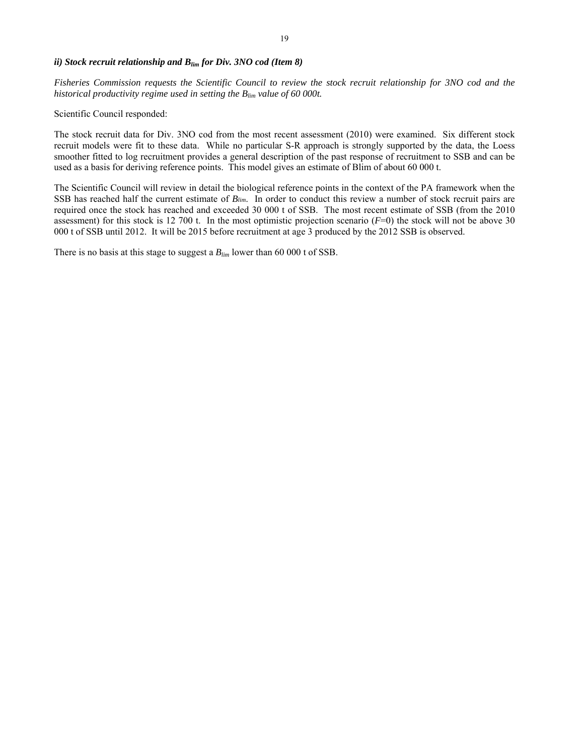# *ii) Stock recruit relationship and B<sub>lim</sub> for Div. 3NO cod (Item 8)*

*Fisheries Commission requests the Scientific Council to review the stock recruit relationship for 3NO cod and the historical productivity regime used in setting the Blim value of 60 000t.* 

Scientific Council responded:

The stock recruit data for Div. 3NO cod from the most recent assessment (2010) were examined. Six different stock recruit models were fit to these data. While no particular S-R approach is strongly supported by the data, the Loess smoother fitted to log recruitment provides a general description of the past response of recruitment to SSB and can be used as a basis for deriving reference points. This model gives an estimate of Blim of about 60 000 t.

The Scientific Council will review in detail the biological reference points in the context of the PA framework when the SSB has reached half the current estimate of *Blim*. In order to conduct this review a number of stock recruit pairs are required once the stock has reached and exceeded 30 000 t of SSB. The most recent estimate of SSB (from the 2010 assessment) for this stock is 12 700 t. In the most optimistic projection scenario (*F*=0) the stock will not be above 30 000 t of SSB until 2012. It will be 2015 before recruitment at age 3 produced by the 2012 SSB is observed.

There is no basis at this stage to suggest a  $B_{lim}$  lower than 60 000 t of SSB.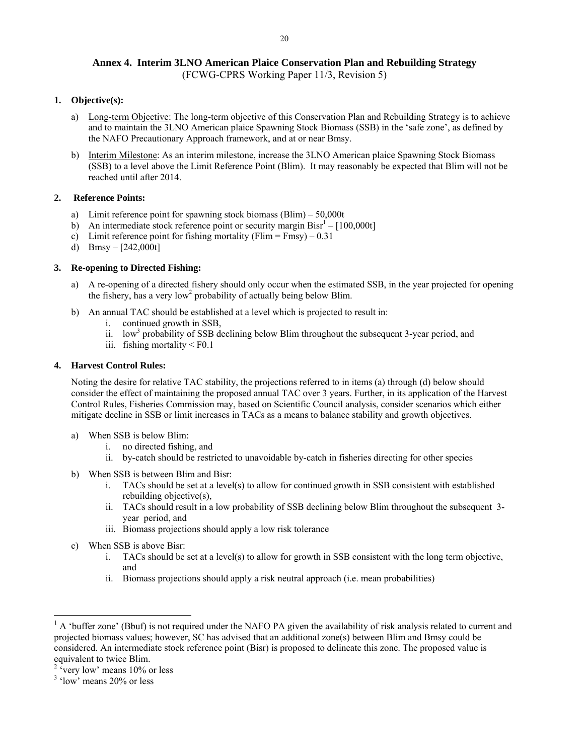# **Annex 4. Interim 3LNO American Plaice Conservation Plan and Rebuilding Strategy**

# (FCWG-CPRS Working Paper 11/3, Revision 5)

# **1. Objective(s):**

- a) Long-term Objective: The long-term objective of this Conservation Plan and Rebuilding Strategy is to achieve and to maintain the 3LNO American plaice Spawning Stock Biomass (SSB) in the 'safe zone', as defined by the NAFO Precautionary Approach framework, and at or near Bmsy.
- b) Interim Milestone: As an interim milestone, increase the 3LNO American plaice Spawning Stock Biomass (SSB) to a level above the Limit Reference Point (Blim). It may reasonably be expected that Blim will not be reached until after 2014.

# **2. Reference Points:**

- a) Limit reference point for spawning stock biomass (Blim) 50,000t
- b) An intermediate stock reference point or security margin  $\text{Bisr}^1 [100,000t]$
- c) Limit reference point for fishing mortality (Flim = Fmsy)  $0.31$
- d) Bmsy  $[242,000t]$

# **3. Re-opening to Directed Fishing:**

- a) A re-opening of a directed fishery should only occur when the estimated SSB, in the year projected for opening the fishery, has a very low<sup>2</sup> probability of actually being below Blim.
- b) An annual TAC should be established at a level which is projected to result in:
	- i. continued growth in SSB,
	- ii. low<sup>3</sup> probability of SSB declining below Blim throughout the subsequent  $3$ -year period, and
	- iii. fishing mortality < F0.1

# **4. Harvest Control Rules:**

Noting the desire for relative TAC stability, the projections referred to in items (a) through (d) below should consider the effect of maintaining the proposed annual TAC over 3 years. Further, in its application of the Harvest Control Rules, Fisheries Commission may, based on Scientific Council analysis, consider scenarios which either mitigate decline in SSB or limit increases in TACs as a means to balance stability and growth objectives.

- a) When SSB is below Blim:
	- i. no directed fishing, and
	- ii. by-catch should be restricted to unavoidable by-catch in fisheries directing for other species
- b) When SSB is between Blim and Bisr:
	- i. TACs should be set at a level(s) to allow for continued growth in SSB consistent with established rebuilding objective(s),
	- ii. TACs should result in a low probability of SSB declining below Blim throughout the subsequent 3 year period, and
	- iii. Biomass projections should apply a low risk tolerance
- c) When SSB is above Bisr:

- i. TACs should be set at a level(s) to allow for growth in SSB consistent with the long term objective, and
- ii. Biomass projections should apply a risk neutral approach (i.e. mean probabilities)

 $<sup>1</sup>$  A 'buffer zone' (Bbuf) is not required under the NAFO PA given the availability of risk analysis related to current and</sup> projected biomass values; however, SC has advised that an additional zone(s) between Blim and Bmsy could be considered. An intermediate stock reference point (Bisr) is proposed to delineate this zone. The proposed value is equivalent to twice Blim.

 $2 \text{ 'very low' means } 10\% \text{ or less}$ 

<sup>&</sup>lt;sup>3</sup> 'low' means 20% or less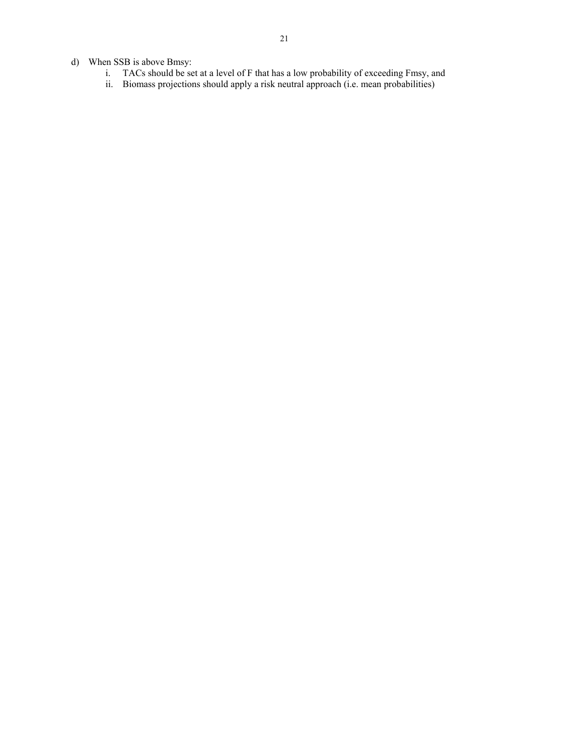- d) When SSB is above Bmsy:
	- i. TACs should be set at a level of F that has a low probability of exceeding Fmsy, and
	- ii. Biomass projections should apply a risk neutral approach (i.e. mean probabilities)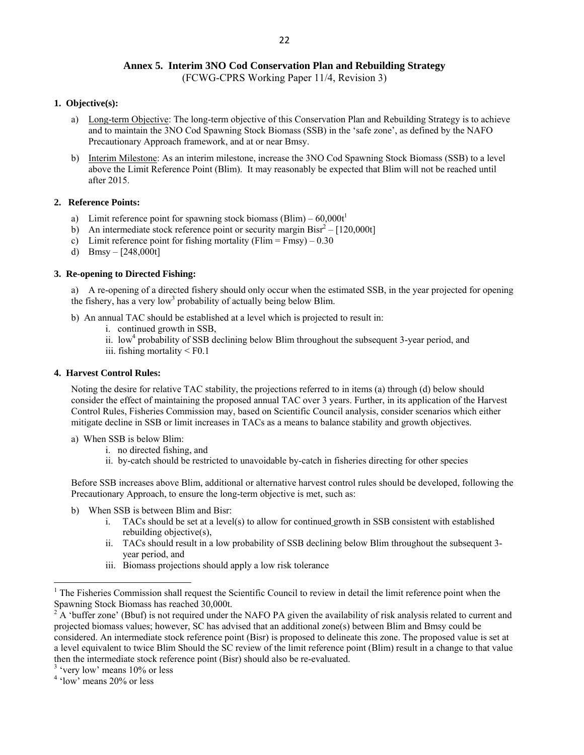# **Annex 5. Interim 3NO Cod Conservation Plan and Rebuilding Strategy**

(FCWG-CPRS Working Paper 11/4, Revision 3)

#### **1. Objective(s):**

- a) Long-term Objective: The long-term objective of this Conservation Plan and Rebuilding Strategy is to achieve and to maintain the 3NO Cod Spawning Stock Biomass (SSB) in the 'safe zone', as defined by the NAFO Precautionary Approach framework, and at or near Bmsy.
- b) Interim Milestone: As an interim milestone, increase the 3NO Cod Spawning Stock Biomass (SSB) to a level above the Limit Reference Point (Blim). It may reasonably be expected that Blim will not be reached until after 2015.

# **2. Reference Points:**

- a) Limit reference point for spawning stock biomass (Blim)  $60,000t^1$
- b) An intermediate stock reference point or security margin  $Bisr^2 [120,000t]$
- c) Limit reference point for fishing mortality (Flim = Fmsy)  $0.30$
- d) Bmsy  $[248,000t]$

# **3. Re-opening to Directed Fishing:**

a) A re-opening of a directed fishery should only occur when the estimated SSB, in the year projected for opening the fishery, has a very low<sup>3</sup> probability of actually being below Blim.

- b) An annual TAC should be established at a level which is projected to result in:
	- i. continued growth in SSB,
	- ii. low<sup>4</sup> probability of SSB declining below Blim throughout the subsequent 3-year period, and
	- iii. fishing mortality < F0.1

# **4. Harvest Control Rules:**

Noting the desire for relative TAC stability, the projections referred to in items (a) through (d) below should consider the effect of maintaining the proposed annual TAC over 3 years. Further, in its application of the Harvest Control Rules, Fisheries Commission may, based on Scientific Council analysis, consider scenarios which either mitigate decline in SSB or limit increases in TACs as a means to balance stability and growth objectives.

- a) When SSB is below Blim:
	- i. no directed fishing, and
	- ii. by-catch should be restricted to unavoidable by-catch in fisheries directing for other species

Before SSB increases above Blim, additional or alternative harvest control rules should be developed, following the Precautionary Approach, to ensure the long-term objective is met, such as:

- b) When SSB is between Blim and Bisr:
	- i. TACs should be set at a level(s) to allow for continued growth in SSB consistent with established rebuilding objective(s),
	- ii. TACs should result in a low probability of SSB declining below Blim throughout the subsequent 3 year period, and
	- iii. Biomass projections should apply a low risk tolerance

 $1$  The Fisheries Commission shall request the Scientific Council to review in detail the limit reference point when the Spawning Stock Biomass has reached 30,000t.

<sup>2</sup> A 'buffer zone' (Bbuf) is not required under the NAFO PA given the availability of risk analysis related to current and projected biomass values; however, SC has advised that an additional zone(s) between Blim and Bmsy could be considered. An intermediate stock reference point (Bisr) is proposed to delineate this zone. The proposed value is set at a level equivalent to twice Blim Should the SC review of the limit reference point (Blim) result in a change to that value then the intermediate stock reference point (Bisr) should also be re-evaluated.

<sup>&</sup>lt;sup>3</sup> 'very low' means 10% or less

<sup>&</sup>lt;sup>4</sup> 'low' means 20% or less